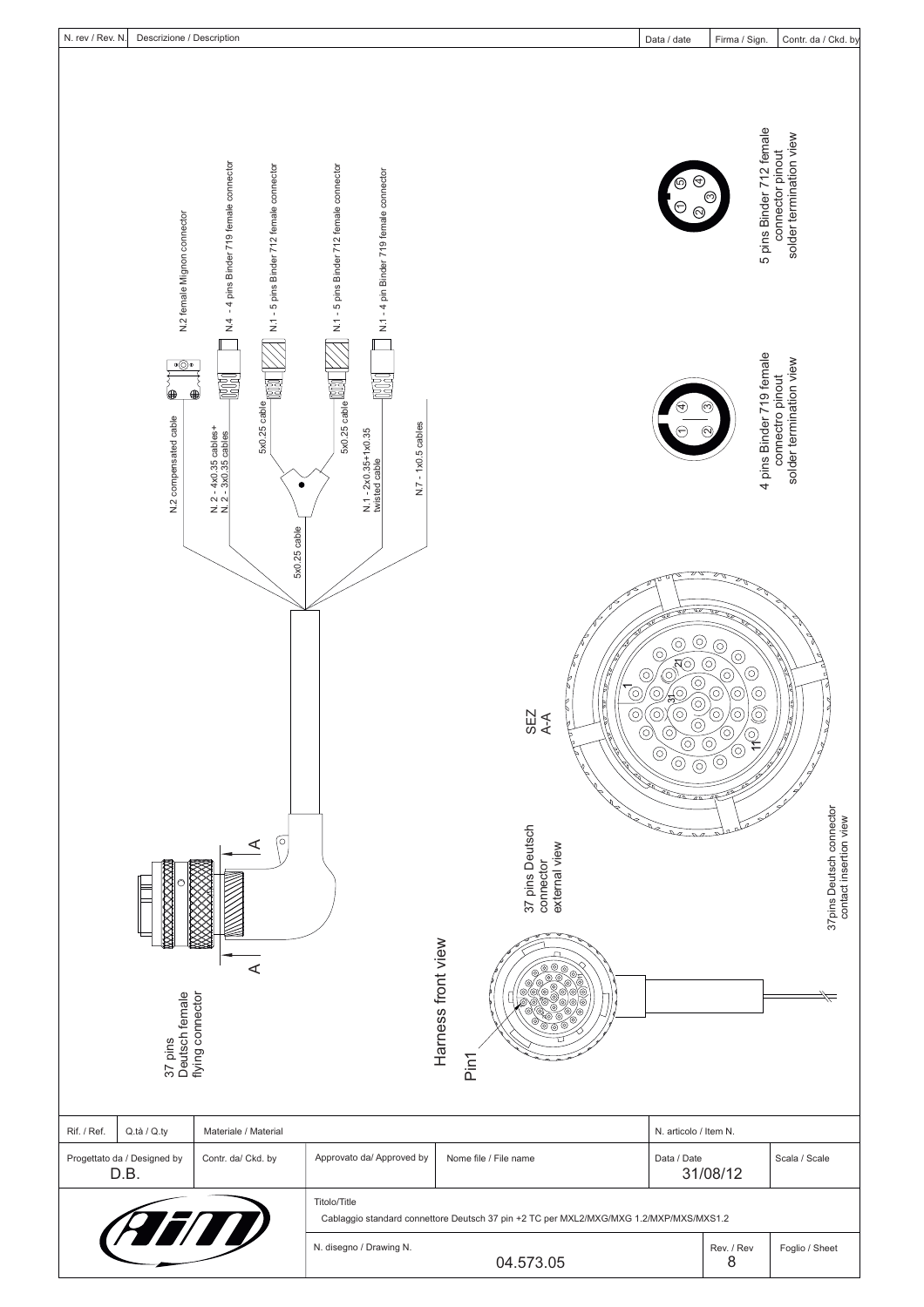